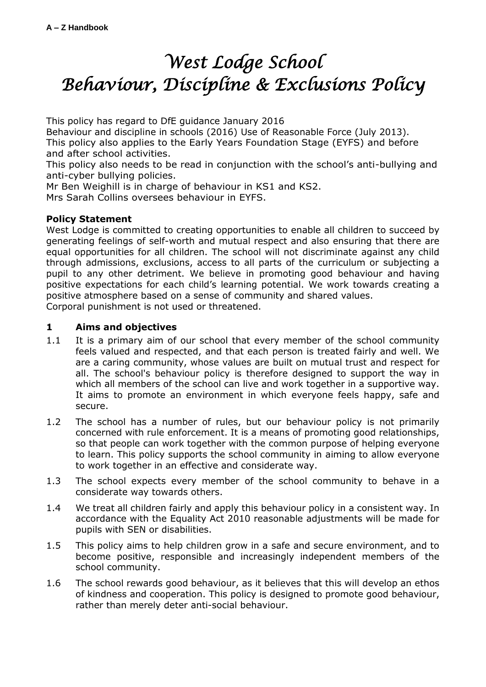# *West Lodge School Behaviour, Discipline & Exclusions Policy*

This policy has regard to DfE guidance January 2016

Behaviour and discipline in schools (2016) Use of Reasonable Force (July 2013). This policy also applies to the Early Years Foundation Stage (EYFS) and before and after school activities.

This policy also needs to be read in conjunction with the school's anti-bullying and anti-cyber bullying policies.

Mr Ben Weighill is in charge of behaviour in KS1 and KS2.

Mrs Sarah Collins oversees behaviour in EYFS.

## **Policy Statement**

West Lodge is committed to creating opportunities to enable all children to succeed by generating feelings of self-worth and mutual respect and also ensuring that there are equal opportunities for all children. The school will not discriminate against any child through admissions, exclusions, access to all parts of the curriculum or subjecting a pupil to any other detriment. We believe in promoting good behaviour and having positive expectations for each child's learning potential. We work towards creating a positive atmosphere based on a sense of community and shared values.

Corporal punishment is not used or threatened.

#### **1 Aims and objectives**

- 1.1 It is a primary aim of our school that every member of the school community feels valued and respected, and that each person is treated fairly and well. We are a caring community, whose values are built on mutual trust and respect for all. The school's behaviour policy is therefore designed to support the way in which all members of the school can live and work together in a supportive way. It aims to promote an environment in which everyone feels happy, safe and secure.
- 1.2 The school has a number of rules, but our behaviour policy is not primarily concerned with rule enforcement. It is a means of promoting good relationships, so that people can work together with the common purpose of helping everyone to learn. This policy supports the school community in aiming to allow everyone to work together in an effective and considerate way.
- 1.3 The school expects every member of the school community to behave in a considerate way towards others.
- 1.4 We treat all children fairly and apply this behaviour policy in a consistent way. In accordance with the Equality Act 2010 reasonable adjustments will be made for pupils with SEN or disabilities.
- 1.5 This policy aims to help children grow in a safe and secure environment, and to become positive, responsible and increasingly independent members of the school community.
- 1.6 The school rewards good behaviour, as it believes that this will develop an ethos of kindness and cooperation. This policy is designed to promote good behaviour, rather than merely deter anti-social behaviour.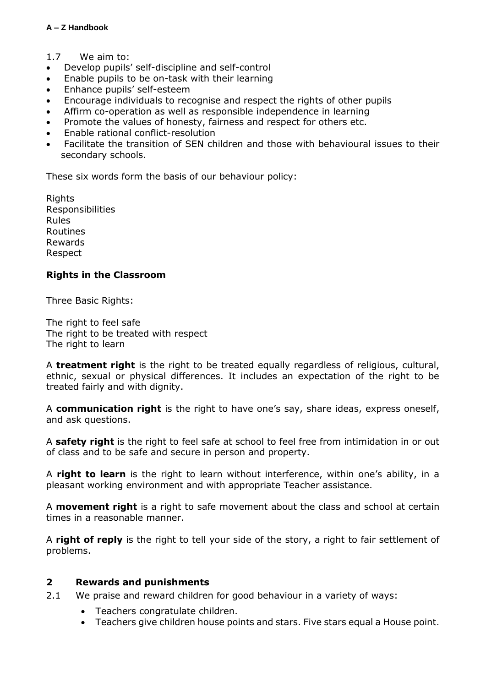#### 1.7 We aim to:

- Develop pupils' self-discipline and self-control
- Enable pupils to be on-task with their learning
- Enhance pupils' self-esteem
- Encourage individuals to recognise and respect the rights of other pupils
- Affirm co-operation as well as responsible independence in learning
- Promote the values of honesty, fairness and respect for others etc.
- Enable rational conflict-resolution
- Facilitate the transition of SEN children and those with behavioural issues to their secondary schools.

These six words form the basis of our behaviour policy:

Rights Responsibilities Rules Routines Rewards Respect

## **Rights in the Classroom**

Three Basic Rights:

The right to feel safe The right to be treated with respect The right to learn

A **treatment right** is the right to be treated equally regardless of religious, cultural, ethnic, sexual or physical differences. It includes an expectation of the right to be treated fairly and with dignity.

A **communication right** is the right to have one's say, share ideas, express oneself, and ask questions.

A **safety right** is the right to feel safe at school to feel free from intimidation in or out of class and to be safe and secure in person and property.

A **right to learn** is the right to learn without interference, within one's ability, in a pleasant working environment and with appropriate Teacher assistance.

A **movement right** is a right to safe movement about the class and school at certain times in a reasonable manner.

A **right of reply** is the right to tell your side of the story, a right to fair settlement of problems.

#### **2 Rewards and punishments**

2.1 We praise and reward children for good behaviour in a variety of ways:

- Teachers congratulate children.
- Teachers give children house points and stars. Five stars equal a House point.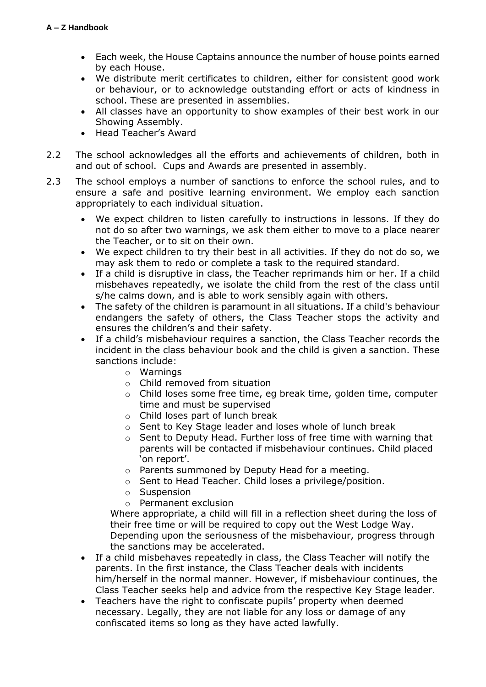- Each week, the House Captains announce the number of house points earned by each House.
- We distribute merit certificates to children, either for consistent good work or behaviour, or to acknowledge outstanding effort or acts of kindness in school. These are presented in assemblies.
- All classes have an opportunity to show examples of their best work in our Showing Assembly.
- Head Teacher's Award
- 2.2 The school acknowledges all the efforts and achievements of children, both in and out of school. Cups and Awards are presented in assembly.
- 2.3 The school employs a number of sanctions to enforce the school rules, and to ensure a safe and positive learning environment. We employ each sanction appropriately to each individual situation.
	- We expect children to listen carefully to instructions in lessons. If they do not do so after two warnings, we ask them either to move to a place nearer the Teacher, or to sit on their own.
	- We expect children to try their best in all activities. If they do not do so, we may ask them to redo or complete a task to the required standard.
	- If a child is disruptive in class, the Teacher reprimands him or her. If a child misbehaves repeatedly, we isolate the child from the rest of the class until s/he calms down, and is able to work sensibly again with others.
	- The safety of the children is paramount in all situations. If a child's behaviour endangers the safety of others, the Class Teacher stops the activity and ensures the children's and their safety.
	- If a child's misbehaviour requires a sanction, the Class Teacher records the incident in the class behaviour book and the child is given a sanction. These sanctions include:
		- o Warnings
		- o Child removed from situation
		- o Child loses some free time, eg break time, golden time, computer time and must be supervised
		- o Child loses part of lunch break
		- o Sent to Key Stage leader and loses whole of lunch break
		- $\circ$  Sent to Deputy Head. Further loss of free time with warning that parents will be contacted if misbehaviour continues. Child placed 'on report'.
		- o Parents summoned by Deputy Head for a meeting.
		- o Sent to Head Teacher. Child loses a privilege/position.
		- o Suspension
		- o Permanent exclusion

Where appropriate, a child will fill in a reflection sheet during the loss of their free time or will be required to copy out the West Lodge Way. Depending upon the seriousness of the misbehaviour, progress through the sanctions may be accelerated.

- If a child misbehaves repeatedly in class, the Class Teacher will notify the parents. In the first instance, the Class Teacher deals with incidents him/herself in the normal manner. However, if misbehaviour continues, the Class Teacher seeks help and advice from the respective Key Stage leader.
- Teachers have the right to confiscate pupils' property when deemed necessary. Legally, they are not liable for any loss or damage of any confiscated items so long as they have acted lawfully.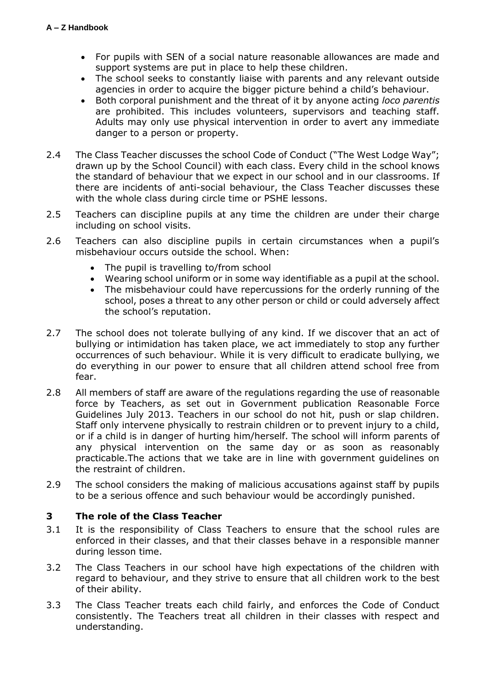- For pupils with SEN of a social nature reasonable allowances are made and support systems are put in place to help these children.
- The school seeks to constantly liaise with parents and any relevant outside agencies in order to acquire the bigger picture behind a child's behaviour.
- Both corporal punishment and the threat of it by anyone acting *loco parentis*  are prohibited. This includes volunteers, supervisors and teaching staff. Adults may only use physical intervention in order to avert any immediate danger to a person or property.
- 2.4 The Class Teacher discusses the school Code of Conduct ("The West Lodge Way"; drawn up by the School Council) with each class. Every child in the school knows the standard of behaviour that we expect in our school and in our classrooms. If there are incidents of anti-social behaviour, the Class Teacher discusses these with the whole class during circle time or PSHE lessons.
- 2.5 Teachers can discipline pupils at any time the children are under their charge including on school visits.
- 2.6 Teachers can also discipline pupils in certain circumstances when a pupil's misbehaviour occurs outside the school. When:
	- The pupil is travelling to/from school
	- Wearing school uniform or in some way identifiable as a pupil at the school.
	- The misbehaviour could have repercussions for the orderly running of the school, poses a threat to any other person or child or could adversely affect the school's reputation.
- 2.7 The school does not tolerate bullying of any kind. If we discover that an act of bullying or intimidation has taken place, we act immediately to stop any further occurrences of such behaviour. While it is very difficult to eradicate bullying, we do everything in our power to ensure that all children attend school free from fear.
- 2.8 All members of staff are aware of the regulations regarding the use of reasonable force by Teachers, as set out in Government publication Reasonable Force Guidelines July 2013. Teachers in our school do not hit, push or slap children. Staff only intervene physically to restrain children or to prevent injury to a child, or if a child is in danger of hurting him/herself. The school will inform parents of any physical intervention on the same day or as soon as reasonably practicable.The actions that we take are in line with government guidelines on the restraint of children.
- 2.9 The school considers the making of malicious accusations against staff by pupils to be a serious offence and such behaviour would be accordingly punished.

# **3 The role of the Class Teacher**

- 3.1 It is the responsibility of Class Teachers to ensure that the school rules are enforced in their classes, and that their classes behave in a responsible manner during lesson time.
- 3.2 The Class Teachers in our school have high expectations of the children with regard to behaviour, and they strive to ensure that all children work to the best of their ability.
- 3.3 The Class Teacher treats each child fairly, and enforces the Code of Conduct consistently. The Teachers treat all children in their classes with respect and understanding.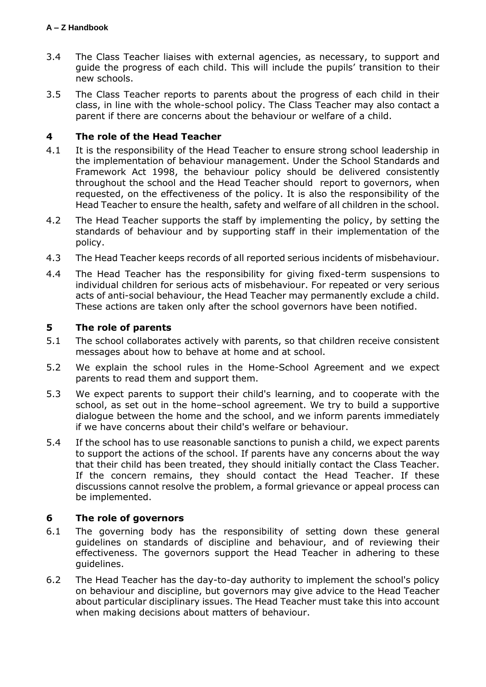- 3.4 The Class Teacher liaises with external agencies, as necessary, to support and guide the progress of each child. This will include the pupils' transition to their new schools.
- 3.5 The Class Teacher reports to parents about the progress of each child in their class, in line with the whole-school policy. The Class Teacher may also contact a parent if there are concerns about the behaviour or welfare of a child.

## **4 The role of the Head Teacher**

- 4.1 It is the responsibility of the Head Teacher to ensure strong school leadership in the implementation of behaviour management. Under the School Standards and Framework Act 1998, the behaviour policy should be delivered consistently throughout the school and the Head Teacher should report to governors, when requested, on the effectiveness of the policy. It is also the responsibility of the Head Teacher to ensure the health, safety and welfare of all children in the school.
- 4.2 The Head Teacher supports the staff by implementing the policy, by setting the standards of behaviour and by supporting staff in their implementation of the policy.
- 4.3 The Head Teacher keeps records of all reported serious incidents of misbehaviour.
- 4.4 The Head Teacher has the responsibility for giving fixed-term suspensions to individual children for serious acts of misbehaviour. For repeated or very serious acts of anti-social behaviour, the Head Teacher may permanently exclude a child. These actions are taken only after the school governors have been notified.

#### **5 The role of parents**

- 5.1 The school collaborates actively with parents, so that children receive consistent messages about how to behave at home and at school.
- 5.2 We explain the school rules in the Home-School Agreement and we expect parents to read them and support them.
- 5.3 We expect parents to support their child's learning, and to cooperate with the school, as set out in the home–school agreement. We try to build a supportive dialogue between the home and the school, and we inform parents immediately if we have concerns about their child's welfare or behaviour.
- 5.4 If the school has to use reasonable sanctions to punish a child, we expect parents to support the actions of the school. If parents have any concerns about the way that their child has been treated, they should initially contact the Class Teacher. If the concern remains, they should contact the Head Teacher. If these discussions cannot resolve the problem, a formal grievance or appeal process can be implemented.

#### **6 The role of governors**

- 6.1 The governing body has the responsibility of setting down these general guidelines on standards of discipline and behaviour, and of reviewing their effectiveness. The governors support the Head Teacher in adhering to these guidelines.
- 6.2 The Head Teacher has the day-to-day authority to implement the school's policy on behaviour and discipline, but governors may give advice to the Head Teacher about particular disciplinary issues. The Head Teacher must take this into account when making decisions about matters of behaviour.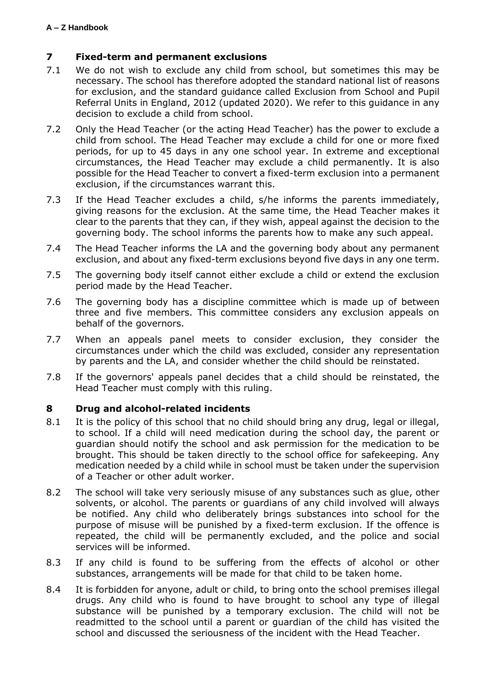# **7 Fixed-term and permanent exclusions**

- 7.1 We do not wish to exclude any child from school, but sometimes this may be necessary. The school has therefore adopted the standard national list of reasons for exclusion, and the standard guidance called Exclusion from School and Pupil Referral Units in England, 2012 (updated 2020). We refer to this guidance in any decision to exclude a child from school.
- 7.2 Only the Head Teacher (or the acting Head Teacher) has the power to exclude a child from school. The Head Teacher may exclude a child for one or more fixed periods, for up to 45 days in any one school year. In extreme and exceptional circumstances, the Head Teacher may exclude a child permanently. It is also possible for the Head Teacher to convert a fixed-term exclusion into a permanent exclusion, if the circumstances warrant this.
- 7.3 If the Head Teacher excludes a child, s/he informs the parents immediately, giving reasons for the exclusion. At the same time, the Head Teacher makes it clear to the parents that they can, if they wish, appeal against the decision to the governing body. The school informs the parents how to make any such appeal.
- 7.4 The Head Teacher informs the LA and the governing body about any permanent exclusion, and about any fixed-term exclusions beyond five days in any one term.
- 7.5 The governing body itself cannot either exclude a child or extend the exclusion period made by the Head Teacher.
- 7.6 The governing body has a discipline committee which is made up of between three and five members. This committee considers any exclusion appeals on behalf of the governors.
- 7.7 When an appeals panel meets to consider exclusion, they consider the circumstances under which the child was excluded, consider any representation by parents and the LA, and consider whether the child should be reinstated.
- 7.8 If the governors' appeals panel decides that a child should be reinstated, the Head Teacher must comply with this ruling.

# **8 Drug and alcohol-related incidents**

- 8.1 It is the policy of this school that no child should bring any drug, legal or illegal, to school. If a child will need medication during the school day, the parent or guardian should notify the school and ask permission for the medication to be brought. This should be taken directly to the school office for safekeeping. Any medication needed by a child while in school must be taken under the supervision of a Teacher or other adult worker.
- 8.2 The school will take very seriously misuse of any substances such as glue, other solvents, or alcohol. The parents or guardians of any child involved will always be notified. Any child who deliberately brings substances into school for the purpose of misuse will be punished by a fixed-term exclusion. If the offence is repeated, the child will be permanently excluded, and the police and social services will be informed.
- 8.3 If any child is found to be suffering from the effects of alcohol or other substances, arrangements will be made for that child to be taken home.
- 8.4 It is forbidden for anyone, adult or child, to bring onto the school premises illegal drugs. Any child who is found to have brought to school any type of illegal substance will be punished by a temporary exclusion. The child will not be readmitted to the school until a parent or guardian of the child has visited the school and discussed the seriousness of the incident with the Head Teacher.